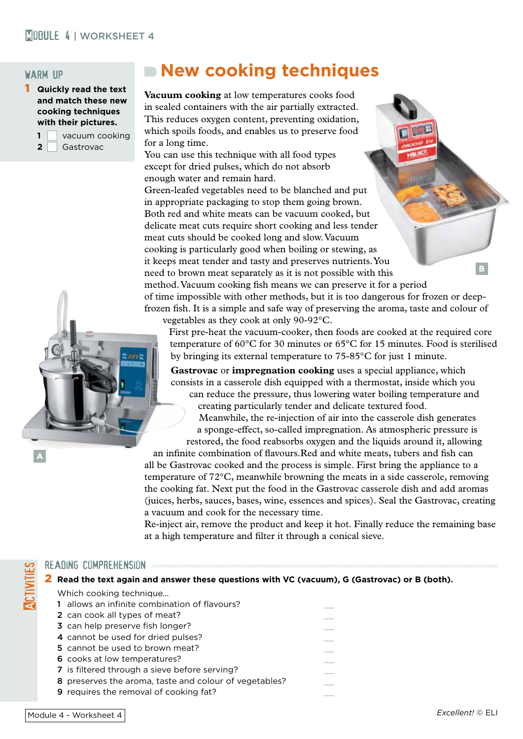## **MORKSHEET 4** | WORKSHEET 4

### warm up

1 **Quickly read the text and match these new cooking techniques with their pictures.**

|                | vacuum cooking |  |
|----------------|----------------|--|
| $\overline{2}$ | Gastrovac      |  |

# **New cooking techniques**

**Vacuum cooking** at low temperatures cooks food in sealed containers with the air partially extracted. This reduces oxygen content, preventing oxidation, which spoils foods, and enables us to preserve food for a long time.

You can use this technique with all food types except for dried pulses, which do not absorb enough water and remain hard.

Green-leafed vegetables need to be blanched and put in appropriate packaging to stop them going brown. Both red and white meats can be vacuum cooked, but delicate meat cuts require short cooking and less tender meat cuts should be cooked long and slow. Vacuum cooking is particularly good when boiling or stewing, as it keeps meat tender and tasty and preserves nutrients. You B. need to brown meat separately as it is not possible with this method. Vacuum cooking fish means we can preserve it for a period of time impossible with other methods, but it is too dangerous for frozen or deepfrozen fish. It is a simple and safe way of preserving the aroma, taste and colour of vegetables as they cook at only 90-92°C.

First pre-heat the vacuum-cooker, then foods are cooked at the required core temperature of 60°C for 30 minutes or 65°C for 15 minutes. Food is sterilised by bringing its external temperature to 75-85°C for just 1 minute.

**Gastrovac** or **impregnation cooking** uses a special appliance, which consists in a casserole dish equipped with a thermostat, inside which you can reduce the pressure, thus lowering water boiling temperature and creating particularly tender and delicate textured food. Meanwhile, the re-injection of air into the casserole dish generates a sponge-effect, so-called impregnation. As atmospheric pressure is restored, the food reabsorbs oxygen and the liquids around it, allowing

an infinite combination of flavours.Red and white meats, tubers and fish can all be Gastrovac cooked and the process is simple. First bring the appliance to a temperature of 72°C, meanwhile browning the meats in a side casserole, removing the cooking fat. Next put the food in the Gastrovac casserole dish and add aromas (juices, herbs, sauces, bases, wine, essences and spices). Seal the Gastrovac, creating a vacuum and cook for the necessary time.

Re-inject air, remove the product and keep it hot. Finally reduce the remaining base at a high temperature and filter it through a conical sieve.

#### READING COMPREHENSION *communicational comprehension comprehension*

#### 2 **Read the text again and answer these questions with VC (vacuum), G (Gastrovac) or B (both).**

Which cooking technique...

- 1 allows an infinite combination of flavours?
- 2 can cook all types of meat?
- 3 can help preserve fish longer?
- 4 cannot be used for dried pulses? 5 cannot be used to brown meat?
- 6 cooks at low temperatures?
- 7 is filtered through a sieve before serving?
- 8 preserves the aroma, taste and colour of vegetables?
- 9 requires the removal of cooking fat?

**Activities**